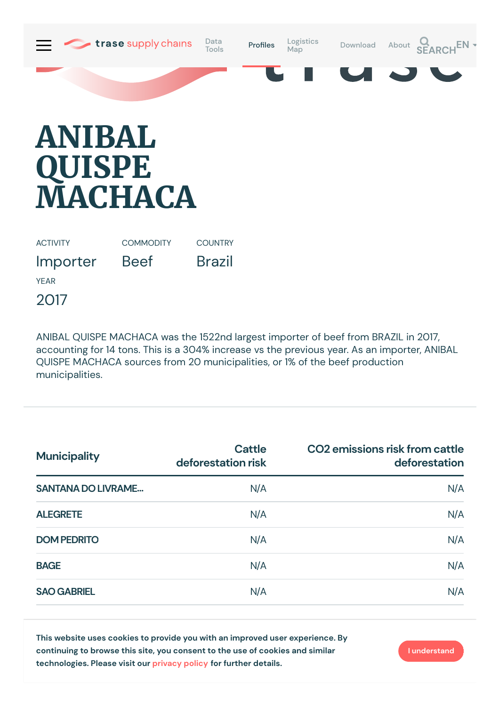

## **ANIBAL QUISPE MACHACA**

ACTIVITY

**COMMODITY** 

Beef

**COUNTRY** 

Brazil

Importer

YEAR

2017

ANIBAL QUISPE MACHACA was the 1522nd largest importer of beef from BRAZIL in 2017, accounting for 14 tons. This is a 304% increase vs the previous year. As an importer, ANIBAL QUISPE MACHACA sources from 20 municipalities, or 1% of the beef production municipalities.

| <b>Municipality</b>       | <b>Cattle</b><br>deforestation risk<br>N/A | CO2 emissions risk from cattle<br>deforestation |  |
|---------------------------|--------------------------------------------|-------------------------------------------------|--|
| <b>SANTANA DO LIVRAME</b> |                                            | N/A                                             |  |
| <b>ALEGRETE</b>           | N/A                                        | N/A                                             |  |
| <b>DOM PEDRITO</b>        | N/A                                        | N/A                                             |  |
| <b>BAGE</b>               | N/A                                        | N/A                                             |  |
| <b>SAO GABRIEL</b>        | N/A                                        | N/A                                             |  |

**This website uses cookies to provide you with an improved user experience. By continuing to browse this site, you consent to the use of cookies and similar technologies. Please visit our [privacy](https://www.trase.earth/privacy-policy) policy for further details.**

**I understand**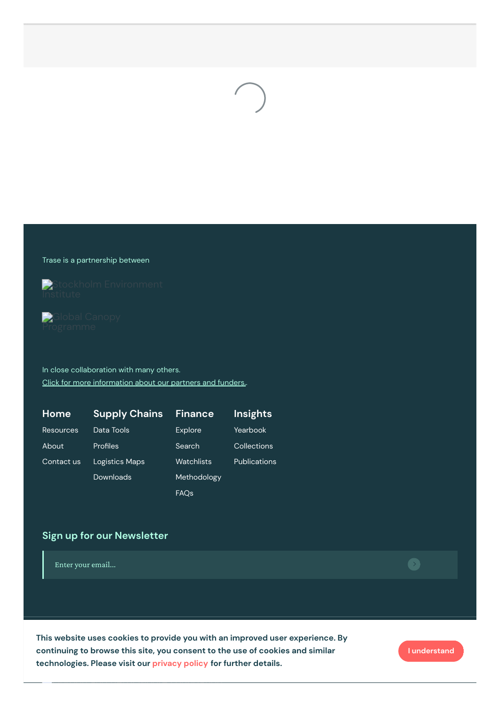

## Trase is a partnership between



**Global Canopy** 

In close collaboration with many others. Click for more [information](https://www.trase.earth/about/) about our partners and funders..

| Home             | <b>Supply Chains</b> | <b>Finance</b> | <b>Insights</b>     |
|------------------|----------------------|----------------|---------------------|
| <b>Resources</b> | Data Tools           | <b>Explore</b> | Yearbook            |
| About            | Profiles             | Search         | Collections         |
| Contact us       | Logistics Maps       | Watchlists     | <b>Publications</b> |
|                  | Downloads            | Methodology    |                     |
|                  |                      | <b>FAQs</b>    |                     |

## **Sign up for our Newsletter**

Enter your email...

 $\Gamma$ his website uses cookies to provide you with an improved user experience. By technologies. Please visit our [privacy](https://www.trase.earth/privacy-policy) policy for further details. **continuing to browse this site, you consent to the use of cookies and similar**

**I understand**

 $\bullet$